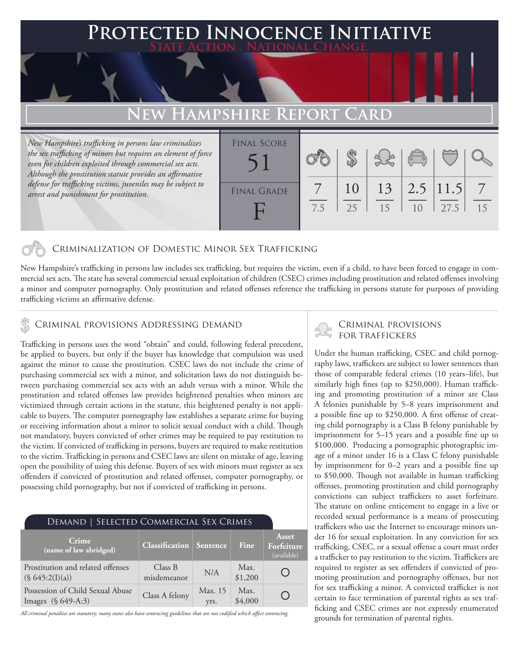## **PTED INNOCENCE INITIATIVE State Action . National Change.**

# **New Hampshire**

*New Hampshire's trafficking in persons law criminalizes the sex trafficking of minors but requires an element of force even for children exploited through commercial sex acts. Although the prostitution statute provides an affirmative defense for trafficking victims, juveniles may be subject to arrest and punishment for prostitution.*

| <b>FINAL SCORE</b> |     |          |          | $\sqrt{\frac{1}{10}}$              |      |    |
|--------------------|-----|----------|----------|------------------------------------|------|----|
| <b>FINAL GRADE</b> | 7.5 | 10<br>25 | 13<br>15 | $\vert 2.5 \vert 11.5 \vert$<br>10 | 27.5 | 15 |

### Criminalization of Domestic Minor Sex Trafficking

New Hampshire's trafficking in persons law includes sex trafficking, but requires the victim, even if a child, to have been forced to engage in commercial sex acts. The state has several commercial sexual exploitation of children (CSEC) crimes including prostitution and related offenses involving a minor and computer pornography. Only prostitution and related offenses reference the trafficking in persons statute for purposes of providing trafficking victims an affirmative defense.

# CRIMINAL PROVISIONS ADDRESSING DEMAND CRIMINAL PROVISIONS

Trafficking in persons uses the word "obtain" and could, following federal precedent, be applied to buyers, but only if the buyer has knowledge that compulsion was used against the minor to cause the prostitution. CSEC laws do not include the crime of purchasing commercial sex with a minor, and solicitation laws do not distinguish between purchasing commercial sex acts with an adult versus with a minor. While the prostitution and related offenses law provides heightened penalties when minors are victimized through certain actions in the statute, this heightened penalty is not applicable to buyers. The computer pornography law establishes a separate crime for buying or receiving information about a minor to solicit sexual conduct with a child. Though not mandatory, buyers convicted of other crimes may be required to pay restitution to the victim. If convicted of trafficking in persons, buyers are required to make restitution to the victim. Trafficking in persons and CSEC laws are silent on mistake of age, leaving open the possibility of using this defense. Buyers of sex with minors must register as sex offenders if convicted of prostitution and related offenses, computer pornography, or possessing child pornography, but not if convicted of trafficking in persons.

| DEMAND   SELECTED COMMERCIAL SEX CRIMES                |                                |                 |                 |                                    |
|--------------------------------------------------------|--------------------------------|-----------------|-----------------|------------------------------------|
| Crime<br>(name of law abridged)                        | <b>Classification</b> Sentence |                 | <b>Fine</b>     | Asset<br>Forfeiture<br>(available) |
| Prostitution and related offenses<br>(S 645:2(I)(a))   | Class B<br>misdemeanor         | N/A             | Max.<br>\$1,200 |                                    |
| Possession of Child Sexual Abuse<br>Images (§ 649-A:3) | Class A felony                 | Max. 15<br>yrs. | Max.<br>\$4,000 |                                    |

*All criminal penalties are statutory; many states also have sentencing guidelines that are not codified which affect sentencing.* 

Under the human trafficking, CSEC and child pornography laws, traffickers are subject to lower sentences than those of comparable federal crimes (10 years–life), but similarly high fines (up to \$250,000). Human trafficking and promoting prostitution of a minor are Class A felonies punishable by 5–8 years imprisonment and a possible fine up to \$250,000. A first offense of creating child pornography is a Class B felony punishable by imprisonment for 5–15 years and a possible fine up to \$100,000. Producing a pornographic photographic image of a minor under 16 is a Class C felony punishable by imprisonment for 0–2 years and a possible fine up to \$50,000. Though not available in human trafficking offenses, promoting prostitution and child pornography convictions can subject traffickers to asset forfeiture. The statute on online enticement to engage in a live or recorded sexual performance is a means of prosecuting traffickers who use the Internet to encourage minors under 16 for sexual exploitation. In any conviction for sex trafficking, CSEC, or a sexual offense a court must order a trafficker to pay restitution to the victim. Traffickers are required to register as sex offenders if convicted of promoting prostitution and pornography offenses, but not for sex trafficking a minor. A convicted trafficker is not certain to face termination of parental rights as sex trafficking and CSEC crimes are not expressly enumerated grounds for termination of parental rights.